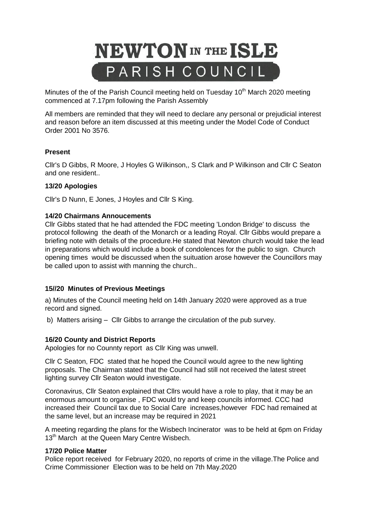# **NEWTON** IN THE ISLE PARISH COUNCIL

Minutes of the of the Parish Council meeting held on Tuesday  $10<sup>th</sup>$  March 2020 meeting commenced at 7.17pm following the Parish Assembly

All members are reminded that they will need to declare any personal or prejudicial interest and reason before an item discussed at this meeting under the Model Code of Conduct Order 2001 No 3576.

## **Present**

Cllr's D Gibbs, R Moore, J Hoyles G Wilkinson,, S Clark and P Wilkinson and Cllr C Seaton and one resident..

### **13/20 Apologies**

Cllr's D Nunn, E Jones, J Hoyles and Cllr S King.

### **14/20 Chairmans Annoucements**

Cllr Gibbs stated that he had attended the FDC meeting 'London Bridge' to discuss the protocol following the death of the Monarch or a leading Royal. Cllr Gibbs would prepare a briefing note with details of the procedure.He stated that Newton church would take the lead in preparations which would include a book of condolences for the public to sign. Church opening times would be discussed when the suituation arose however the Councillors may be called upon to assist with manning the church..

### **15//20 Minutes of Previous Meetings**

a) Minutes of the Council meeting held on 14th January 2020 were approved as a true record and signed.

b) Matters arising – Cllr Gibbs to arrange the circulation of the pub survey.

### **16/20 County and District Reports**

Apologies for no Counnty report as Cllr King was unwell.

Cllr C Seaton, FDC stated that he hoped the Council would agree to the new lighting proposals. The Chairman stated that the Council had still not received the latest street lighting survey Cllr Seaton would investigate.

Coronavirus, Cllr Seaton explained that Cllrs would have a role to play, that it may be an enormous amount to organise , FDC would try and keep councils informed. CCC had increased their Council tax due to Social Care increases,however FDC had remained at the same level, but an increase may be required in 2021

A meeting regarding the plans for the Wisbech Incinerator was to be held at 6pm on Friday 13<sup>th</sup> March at the Queen Mary Centre Wisbech.

### **17/20 Police Matter**

Police report received for February 2020, no reports of crime in the village.The Police and Crime Commissioner Election was to be held on 7th May.2020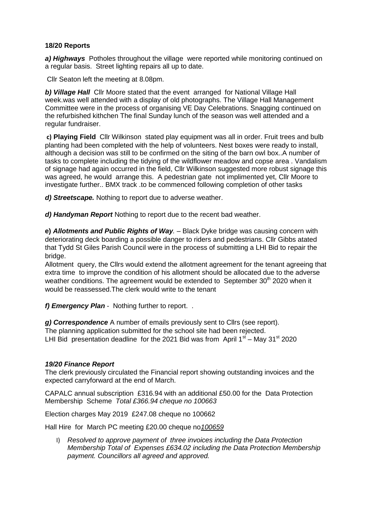### **18/20 Reports**

*a) Highways* Potholes throughout the village were reported while monitoring continued on a regular basis. Street lighting repairs all up to date.

Cllr Seaton left the meeting at 8.08pm.

*b) Village Hall* Cllr Moore stated that the event arranged for National Village Hall week.was well attended with a display of old photographs. The Village Hall Management Committee were in the process of organising VE Day Celebrations. Snagging continued on the refurbished kithchen The final Sunday lunch of the season was well attended and a regular fundraiser.

**c) Playing Field** Cllr Wilkinson stated play equipment was all in order. Fruit trees and bulb planting had been completed with the help of volunteers. Nest boxes were ready to install, although a decision was still to be confirmed on the siting of the barn owl box..A number of tasks to complete including the tidying of the wildflower meadow and copse area . Vandalism of signage had again occurred in the field, Cllr Wilkinson suggested more robust signage this was agreed, he would arrange this. A pedestrian gate not implimented yet, Cllr Moore to investigate further.. BMX track .to be commenced following completion of other tasks

*d) Streetscape.* Nothing to report due to adverse weather.

*d) Handyman Report* Nothing to report due to the recent bad weather.

**e)** *Allotments and Public Rights of Way.* – Black Dyke bridge was causing concern with deteriorating deck boarding a possible danger to riders and pedestrians. Cllr Gibbs atated that Tydd St Giles Parish Council were in the process of submitting a LHI Bid to repair the bridge.

Allotment query, the Cllrs would extend the allotment agreement for the tenant agreeing that extra time to improve the condition of his allotment should be allocated due to the adverse weather conditions. The agreement would be extended to September  $30<sup>th</sup>$  2020 when it would be reassessed.The clerk would write to the tenant

*f) Emergency Plan* - Nothing further to report. .

*g) Correspondence* A number of emails previously sent to Cllrs (see report). The planning application submitted for the school site had been rejected. LHI Bid presentation deadline for the 2021 Bid was from April  $1<sup>st</sup>$  – May 31<sup>st</sup> 2020

### *19/20 Finance Report*

The clerk previously circulated the Financial report showing outstanding invoices and the expected carryforward at the end of March.

CAPALC annual subscription £316.94 with an additional £50.00 for the Data Protection Membership Scheme *Total £366.94 cheque no 100663*

Election charges May 2019 £247.08 cheque no 100662

Hall Hire for March PC meeting £20.00 cheque no*100659*

I) *Resolved to approve payment of three invoices including the Data Protection Membership Total of Expenses £634.02 including the Data Protection Membership payment. Councillors all agreed and approved.*